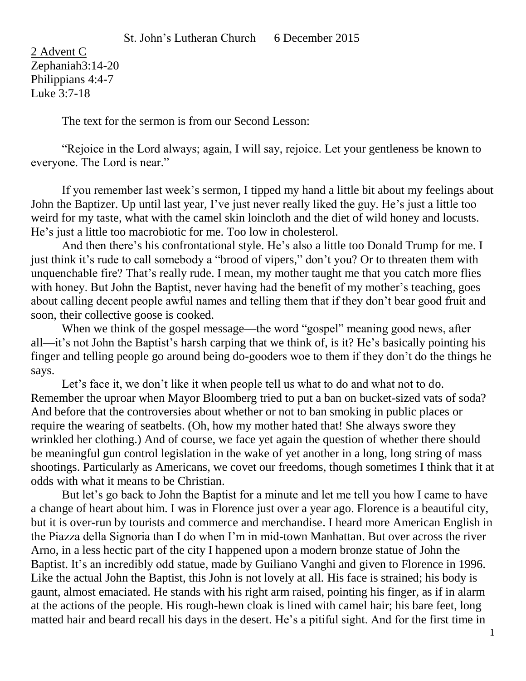2 Advent C Zephaniah3:14-20 Philippians 4:4-7 Luke 3:7-18

The text for the sermon is from our Second Lesson:

"Rejoice in the Lord always; again, I will say, rejoice. Let your gentleness be known to everyone. The Lord is near."

If you remember last week's sermon, I tipped my hand a little bit about my feelings about John the Baptizer. Up until last year, I've just never really liked the guy. He's just a little too weird for my taste, what with the camel skin loincloth and the diet of wild honey and locusts. He's just a little too macrobiotic for me. Too low in cholesterol.

And then there's his confrontational style. He's also a little too Donald Trump for me. I just think it's rude to call somebody a "brood of vipers," don't you? Or to threaten them with unquenchable fire? That's really rude. I mean, my mother taught me that you catch more flies with honey. But John the Baptist, never having had the benefit of my mother's teaching, goes about calling decent people awful names and telling them that if they don't bear good fruit and soon, their collective goose is cooked.

When we think of the gospel message—the word "gospel" meaning good news, after all—it's not John the Baptist's harsh carping that we think of, is it? He's basically pointing his finger and telling people go around being do-gooders woe to them if they don't do the things he says.

Let's face it, we don't like it when people tell us what to do and what not to do. Remember the uproar when Mayor Bloomberg tried to put a ban on bucket-sized vats of soda? And before that the controversies about whether or not to ban smoking in public places or require the wearing of seatbelts. (Oh, how my mother hated that! She always swore they wrinkled her clothing.) And of course, we face yet again the question of whether there should be meaningful gun control legislation in the wake of yet another in a long, long string of mass shootings. Particularly as Americans, we covet our freedoms, though sometimes I think that it at odds with what it means to be Christian.

But let's go back to John the Baptist for a minute and let me tell you how I came to have a change of heart about him. I was in Florence just over a year ago. Florence is a beautiful city, but it is over-run by tourists and commerce and merchandise. I heard more American English in the Piazza della Signoria than I do when I'm in mid-town Manhattan. But over across the river Arno, in a less hectic part of the city I happened upon a modern bronze statue of John the Baptist. It's an incredibly odd statue, made by Guiliano Vanghi and given to Florence in 1996. Like the actual John the Baptist, this John is not lovely at all. His face is strained; his body is gaunt, almost emaciated. He stands with his right arm raised, pointing his finger, as if in alarm at the actions of the people. His rough-hewn cloak is lined with camel hair; his bare feet, long matted hair and beard recall his days in the desert. He's a pitiful sight. And for the first time in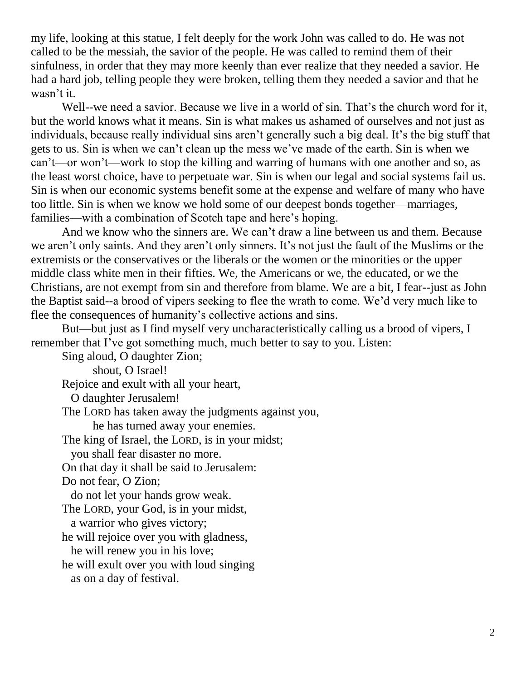my life, looking at this statue, I felt deeply for the work John was called to do. He was not called to be the messiah, the savior of the people. He was called to remind them of their sinfulness, in order that they may more keenly than ever realize that they needed a savior. He had a hard job, telling people they were broken, telling them they needed a savior and that he wasn't it.

Well--we need a savior. Because we live in a world of sin. That's the church word for it, but the world knows what it means. Sin is what makes us ashamed of ourselves and not just as individuals, because really individual sins aren't generally such a big deal. It's the big stuff that gets to us. Sin is when we can't clean up the mess we've made of the earth. Sin is when we can't—or won't—work to stop the killing and warring of humans with one another and so, as the least worst choice, have to perpetuate war. Sin is when our legal and social systems fail us. Sin is when our economic systems benefit some at the expense and welfare of many who have too little. Sin is when we know we hold some of our deepest bonds together—marriages, families—with a combination of Scotch tape and here's hoping.

And we know who the sinners are. We can't draw a line between us and them. Because we aren't only saints. And they aren't only sinners. It's not just the fault of the Muslims or the extremists or the conservatives or the liberals or the women or the minorities or the upper middle class white men in their fifties. We, the Americans or we, the educated, or we the Christians, are not exempt from sin and therefore from blame. We are a bit, I fear--just as John the Baptist said--a brood of vipers seeking to flee the wrath to come. We'd very much like to flee the consequences of humanity's collective actions and sins.

But—but just as I find myself very uncharacteristically calling us a brood of vipers, I remember that I've got something much, much better to say to you. Listen:

Sing aloud, O daughter Zion; shout, O Israel! Rejoice and exult with all your heart, O daughter Jerusalem! The LORD has taken away the judgments against you, he has turned away your enemies. The king of Israel, the LORD, is in your midst; you shall fear disaster no more. On that day it shall be said to Jerusalem: Do not fear, O Zion; do not let your hands grow weak. The LORD, your God, is in your midst, a warrior who gives victory; he will rejoice over you with gladness, he will renew you in his love; he will exult over you with loud singing as on a day of festival.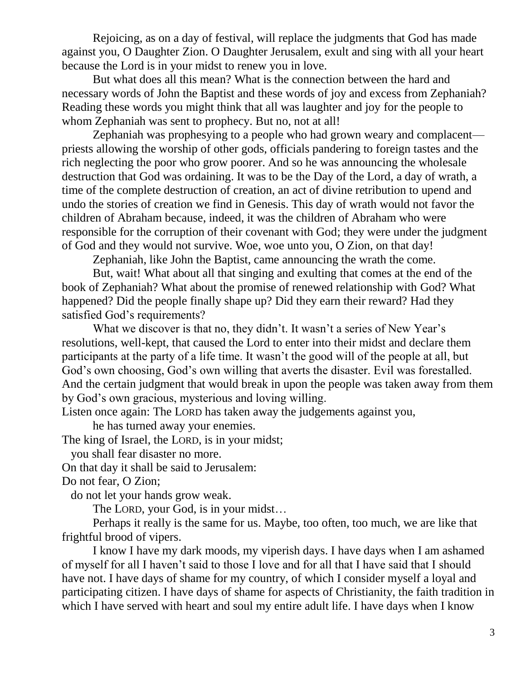Rejoicing, as on a day of festival, will replace the judgments that God has made against you, O Daughter Zion. O Daughter Jerusalem, exult and sing with all your heart because the Lord is in your midst to renew you in love.

But what does all this mean? What is the connection between the hard and necessary words of John the Baptist and these words of joy and excess from Zephaniah? Reading these words you might think that all was laughter and joy for the people to whom Zephaniah was sent to prophecy. But no, not at all!

Zephaniah was prophesying to a people who had grown weary and complacent priests allowing the worship of other gods, officials pandering to foreign tastes and the rich neglecting the poor who grow poorer. And so he was announcing the wholesale destruction that God was ordaining. It was to be the Day of the Lord, a day of wrath, a time of the complete destruction of creation, an act of divine retribution to upend and undo the stories of creation we find in Genesis. This day of wrath would not favor the children of Abraham because, indeed, it was the children of Abraham who were responsible for the corruption of their covenant with God; they were under the judgment of God and they would not survive. Woe, woe unto you, O Zion, on that day!

Zephaniah, like John the Baptist, came announcing the wrath the come.

But, wait! What about all that singing and exulting that comes at the end of the book of Zephaniah? What about the promise of renewed relationship with God? What happened? Did the people finally shape up? Did they earn their reward? Had they satisfied God's requirements?

What we discover is that no, they didn't. It wasn't a series of New Year's resolutions, well-kept, that caused the Lord to enter into their midst and declare them participants at the party of a life time. It wasn't the good will of the people at all, but God's own choosing, God's own willing that averts the disaster. Evil was forestalled. And the certain judgment that would break in upon the people was taken away from them by God's own gracious, mysterious and loving willing.

Listen once again: The LORD has taken away the judgements against you,

he has turned away your enemies.

The king of Israel, the LORD, is in your midst;

you shall fear disaster no more.

On that day it shall be said to Jerusalem:

Do not fear, O Zion;

do not let your hands grow weak.

The LORD, your God, is in your midst…

Perhaps it really is the same for us. Maybe, too often, too much, we are like that frightful brood of vipers.

I know I have my dark moods, my viperish days. I have days when I am ashamed of myself for all I haven't said to those I love and for all that I have said that I should have not. I have days of shame for my country, of which I consider myself a loyal and participating citizen. I have days of shame for aspects of Christianity, the faith tradition in which I have served with heart and soul my entire adult life. I have days when I know